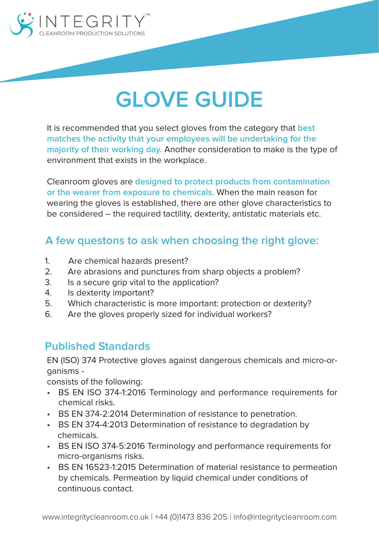

# **GLOVE GUIDE**

It is recommended that you select gloves from the category that **best matches the activity that your employees will be undertaking for the majority of their working day.** Another consideration to make is the type of environment that exists in the workplace.

Cleanroom gloves are **designed to protect products from contamination or the wearer from exposure to chemicals.** When the main reason for wearing the gloves is established, there are other glove characteristics to be considered – the required tactility, dexterity, antistatic materials etc.

### **A few questons to ask when choosing the right glove:**

- 1. Are chemical hazards present?
- 2. Are abrasions and punctures from sharp objects a problem?
- 3. Is a secure grip vital to the application?
- 4. Is dexterity important?
- 5. Which characteristic is more important: protection or dexterity?
- 6. Are the gloves properly sized for individual workers?

#### **Published Standards**

EN (ISO) 374 Protective gloves against dangerous chemicals and micro-organisms -

consists of the following:

- BS EN ISO 374-1:2016 Terminology and performance requirements for chemical risks.
- BS EN 374-2:2014 Determination of resistance to penetration.
- BS EN 374-4:2013 Determination of resistance to degradation by chemicals.
- BS EN ISO 374-5:2016 Terminology and performance requirements for micro-organisms risks.
- BS EN 16523-1:2015 Determination of material resistance to permeation by chemicals. Permeation by liquid chemical under conditions of continuous contact.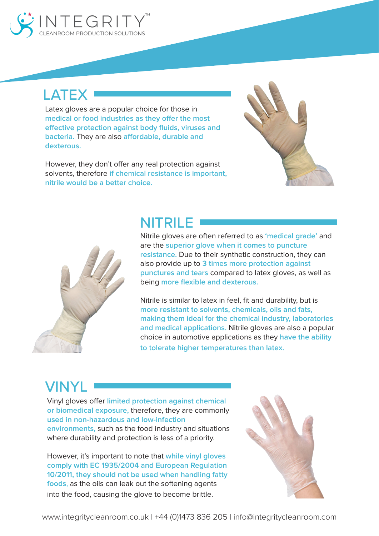

## **LATEX**

Latex gloves are a popular choice for those in **medical or food industries as they offer the most effective protection against body fluids, viruses and bacteria.** They are also **affordable, durable and dexterous.** 

However, they don't offer any real protection against solvents, therefore **if chemical resistance is important, nitrile would be a better choice.**





Nitrile gloves are often referred to as **'medical grade'** and are the **superior glove when it comes to puncture resistance.** Due to their synthetic construction, they can also provide up to **3 times more protection against punctures and tears** compared to latex gloves, as well as being **more flexible and dexterous.** 

Nitrile is similar to latex in feel, fit and durability, but is **more resistant to solvents, chemicals, oils and fats, making them ideal for the chemical industry, laboratories and medical applications.** Nitrile gloves are also a popular choice in automotive applications as they **have the ability to tolerate higher temperatures than latex.**

# VINYL

Vinyl gloves offer **limited protection against chemical or biomedical exposure,** therefore, they are commonly **used in non-hazardous and low-infection environments,** such as the food industry and situations where durability and protection is less of a priority.

However, it's important to note that **while vinyl gloves comply with EC 1935/2004 and European Regulation 10/2011, they should not be used when handling fatty foods**, as the oils can leak out the softening agents into the food, causing the glove to become brittle.